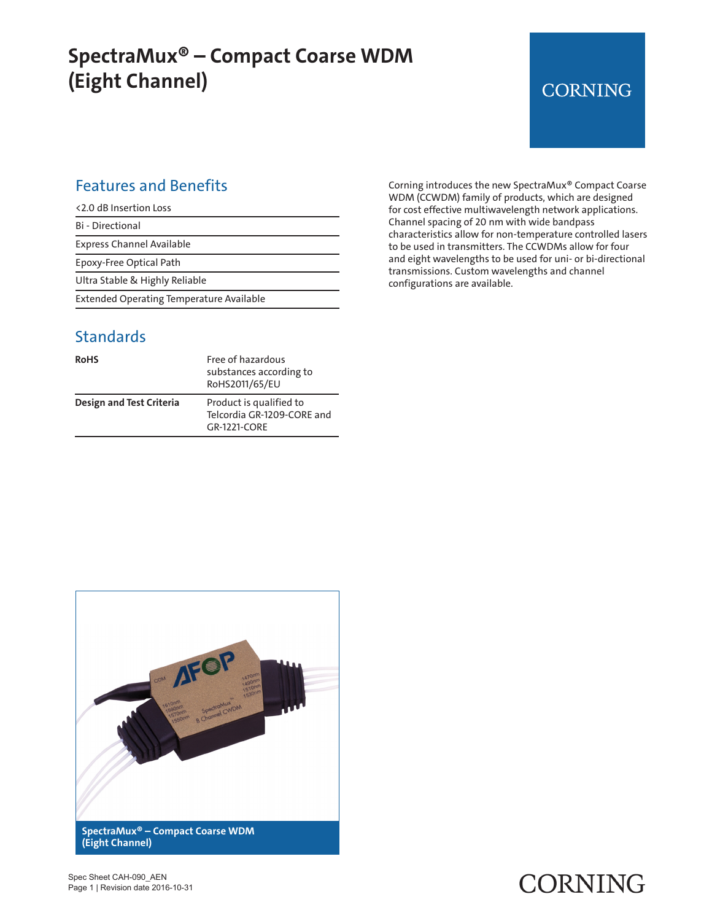## **SpectraMux® – Compact Coarse WDM (Eight Channel)**

## **CORNING**

#### Features and Benefits

Bi - Directional

Express Channel Available

Epoxy-Free Optical Path

Ultra Stable & Highly Reliable

Extended Operating Temperature Available

#### **Standards**

| <b>RoHS</b>                     | Free of hazardous<br>substances according to<br>RoHS2011/65/EU        |
|---------------------------------|-----------------------------------------------------------------------|
| <b>Design and Test Criteria</b> | Product is qualified to<br>Telcordia GR-1209-CORE and<br>GR-1221-CORF |

Corning introduces the new SpectraMux® Compact Coarse WDM (CCWDM) family of products, which are designed for cost effective multiwavelength network applications. Channel spacing of 20 nm with wide bandpass characteristics allow for non-temperature controlled lasers to be used in transmitters. The CCWDMs allow for four and eight wavelengths to be used for uni- or bi-directional transmissions. Custom wavelengths and channel configurations are available.



#### Spec Sheet CAH-090\_AEN Page 1 | Revision date 2016-10-31

# CORNING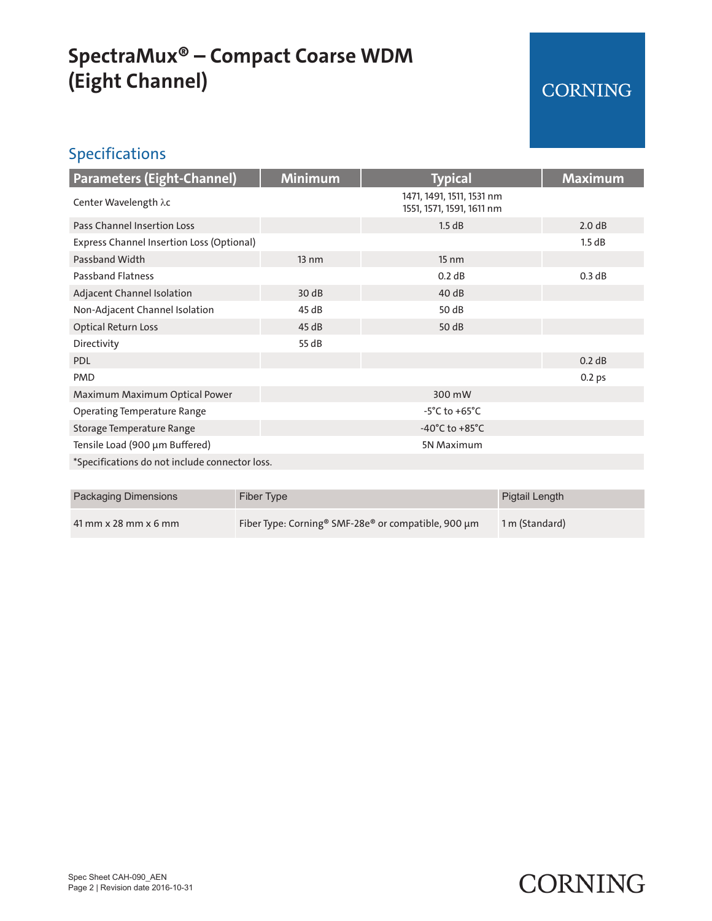## **SpectraMux® – Compact Coarse WDM (Eight Channel)**

## CORNING

### Specifications

| <b>Parameters (Eight-Channel)</b>              | <b>Minimum</b>  | <b>Typical</b>                                         | <b>Maximum</b>    |
|------------------------------------------------|-----------------|--------------------------------------------------------|-------------------|
| Center Wavelength λc                           |                 | 1471, 1491, 1511, 1531 nm<br>1551, 1571, 1591, 1611 nm |                   |
| Pass Channel Insertion Loss                    |                 | 1.5 dB                                                 | 2.0 dB            |
| Express Channel Insertion Loss (Optional)      |                 |                                                        | 1.5 dB            |
| Passband Width                                 | $13 \text{ nm}$ | $15 \text{ nm}$                                        |                   |
| <b>Passband Flatness</b>                       |                 | 0.2 dB                                                 | 0.3 dB            |
| Adjacent Channel Isolation                     | 30dB            | 40dB                                                   |                   |
| Non-Adjacent Channel Isolation                 | 45 dB           | 50 dB                                                  |                   |
| <b>Optical Return Loss</b>                     | 45dB            | 50 dB                                                  |                   |
| Directivity                                    | 55 dB           |                                                        |                   |
| <b>PDL</b>                                     |                 |                                                        | 0.2 dB            |
| <b>PMD</b>                                     |                 |                                                        | 0.2 <sub>ps</sub> |
| Maximum Maximum Optical Power                  |                 | 300 mW                                                 |                   |
| <b>Operating Temperature Range</b>             |                 | $-5^{\circ}$ C to $+65^{\circ}$ C                      |                   |
| Storage Temperature Range                      |                 | $-40^{\circ}$ C to $+85^{\circ}$ C                     |                   |
| Tensile Load (900 µm Buffered)                 |                 | 5N Maximum                                             |                   |
| *Specifications do not include connector loss. |                 |                                                        |                   |

| Packaging Dimensions   | Fiber Type                                                      | Pigtail Length |
|------------------------|-----------------------------------------------------------------|----------------|
| $41$ mm x 28 mm x 6 mm | Fiber Type: Corning <sup>®</sup> SMF-28e® or compatible, 900 µm | 1 m (Standard) |